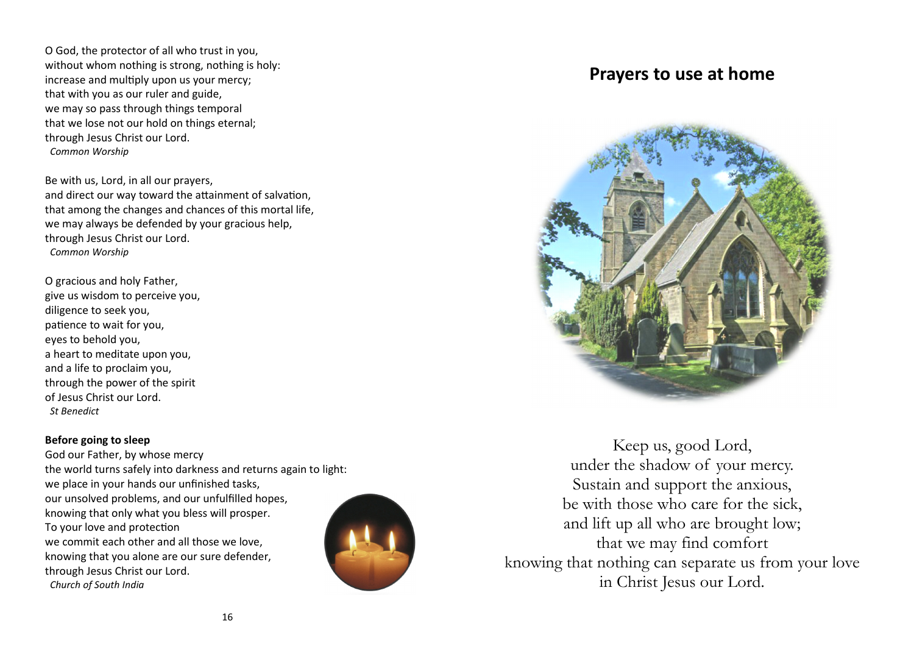O God, the protector of all who trust in you, without whom nothing is strong, nothing is holy: increase and multiply upon us your mercy; that with you as our ruler and guide, we may so pass through things temporal that we lose not our hold on things eternal; through Jesus Christ our Lord.  *Common Worship*

Be with us, Lord, in all our prayers, and direct our way toward the attainment of salvation, that among the changes and chances of this mortal life, we may always be defended by your gracious help, through Jesus Christ our Lord.  *Common Worship*

O gracious and holy Father, give us wisdom to perceive you, diligence to seek you, patience to wait for you, eyes to behold you, a heart to meditate upon you, and a life to proclaim you, through the power of the spirit of Jesus Christ our Lord.  *St Benedict* 

#### **Before going to sleep**

 God our Father, by whose mercy the world turns safely into darkness and returns again to light: we place in your hands our unfinished tasks, our unsolved problems, and our unfulfilled hopes, knowing that only what you bless will prosper. To your love and protection we commit each other and all those we love, knowing that you alone are our sure defender, through Jesus Christ our Lord.  *Church of South India*



# **Prayers to use at home**



Keep us, good Lord, under the shadow of your mercy. Sustain and support the anxious, be with those who care for the sick, and lift up all who are brought low; that we may find comfort knowing that nothing can separate us from your love in Christ Jesus our Lord.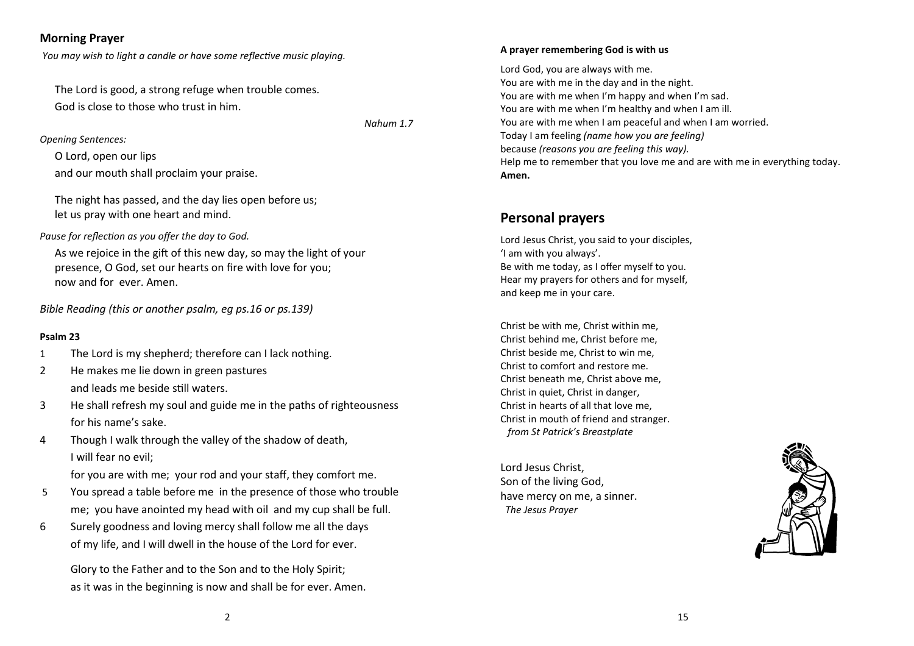# **Morning Prayer**

*You may wish to light a candle or have some reflective music playing.* 

The Lord is good, a strong refuge when trouble comes. God is close to those who trust in him.

*Nahum 1.7* 

*Opening Sentences:* 

O Lord, open our lips

and our mouth shall proclaim your praise.

The night has passed, and the day lies open before us; let us pray with one heart and mind.

Pause for reflection as you offer the day to God.

As we rejoice in the gift of this new day, so may the light of your presence, O God, set our hearts on fire with love for you; now and for ever. Amen.

*Bible Reading (this or another psalm, eg ps.16 or ps.139)*

## **Psalm 23**

- 1 The Lord is my shepherd; therefore can I lack nothing.
- 2 He makes me lie down in green pastures and leads me beside still waters.
- 3 He shall refresh my soul and guide me in the paths of righteousness for his name's sake.
- 4 Though I walk through the valley of the shadow of death, I will fear no evil;

for you are with me; your rod and your staff, they comfort me.

- 5 You spread a table before me in the presence of those who trouble me; you have anointed my head with oil and my cup shall be full.
- 6 Surely goodness and loving mercy shall follow me all the days of my life, and I will dwell in the house of the Lord for ever.

 Glory to the Father and to the Son and to the Holy Spirit; as it was in the beginning is now and shall be for ever. Amen.

#### **A prayer remembering God is with us**

Lord God, you are always with me. You are with me in the day and in the night. You are with me when I'm happy and when I'm sad. You are with me when I'm healthy and when I am ill.You are with me when I am peaceful and when I am worried. Today I am feeling *(name how you are feeling)* because *(reasons you are feeling this way).*Help me to remember that you love me and are with me in everything today. **Amen.**

# **Personal prayers**

Lord Jesus Christ, you said to your disciples, 'I am with you always'. Be with me today, as I offer myself to you. Hear my prayers for others and for myself, and keep me in your care.

Christ be with me, Christ within me, Christ behind me, Christ before me, Christ beside me, Christ to win me, Christ to comfort and restore me. Christ beneath me, Christ above me, Christ in quiet, Christ in danger, Christ in hearts of all that love me, Christ in mouth of friend and stranger. *from St Patrick's Breastplate*

Lord Jesus Christ, Son of the living God, have mercy on me, a sinner.  *The Jesus Prayer*

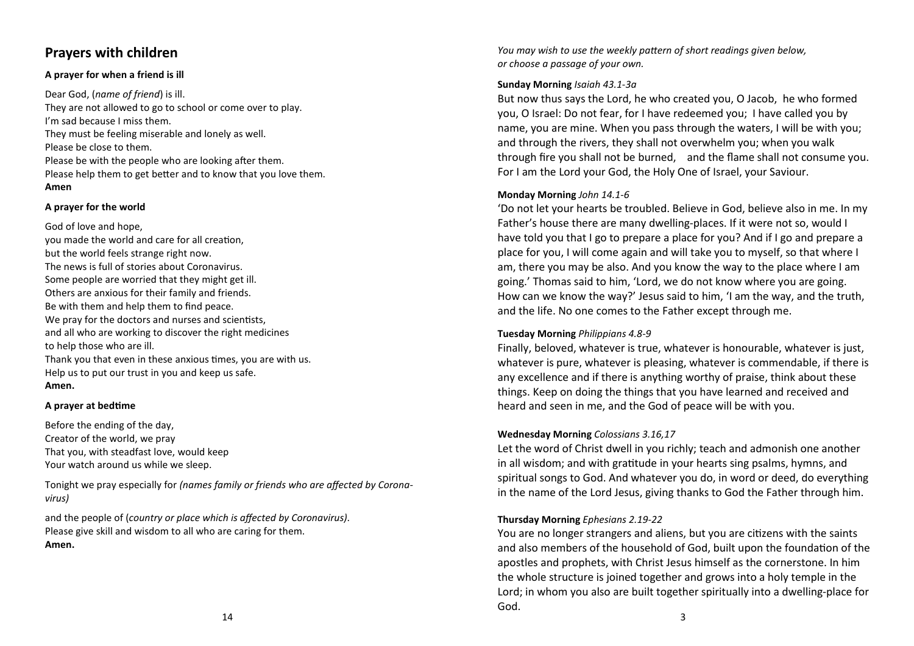# **Prayers with children**

#### **A prayer for when a friend is ill**

Dear God, (*name of friend*) is ill. They are not allowed to go to school or come over to play. I'm sad because I miss them. They must be feeling miserable and lonely as well. Please be close to them. Please be with the people who are looking after them. Please help them to get better and to know that you love them. **Amen**

#### **A prayer for the world**

God of love and hope, you made the world and care for all creation, but the world feels strange right now. The news is full of stories about Coronavirus. Some people are worried that they might get ill. Others are anxious for their family and friends. Be with them and help them to find peace. We pray for the doctors and nurses and scientists, and all who are working to discover the right medicines to help those who are ill. Thank you that even in these anxious times, you are with us. Help us to put our trust in you and keep us safe. **Amen.**

#### **A prayer at bedtime**

Before the ending of the day, Creator of the world, we pray That you, with steadfast love, would keep Your watch around us while we sleep.

Tonight we pray especially for *(names family or friends who are affected by Coronavirus)*

and the people of (*country or place which is affected by Coronavirus)*. Please give skill and wisdom to all who are caring for them. **Amen.**

*You may wish to use the weekly pattern of short readings given below, or choose a passage of your own.* 

#### **Sunday Morning** *Isaiah 43.1-3a*

But now thus says the Lord, he who created you, O Jacob, he who formed you, O Israel: Do not fear, for I have redeemed you; I have called you by name, you are mine. When you pass through the waters, I will be with you; and through the rivers, they shall not overwhelm you; when you walk through fire you shall not be burned, and the flame shall not consume you. For I am the Lord your God, the Holy One of Israel, your Saviour.

#### **Monday Morning** *John 14.1-6*

'Do not let your hearts be troubled. Believe in God, believe also in me. In my Father's house there are many dwelling-places. If it were not so, would I have told you that I go to prepare a place for you? And if I go and prepare a place for you, I will come again and will take you to myself, so that where I am, there you may be also. And you know the way to the place where I am going.' Thomas said to him, 'Lord, we do not know where you are going. How can we know the way?' Jesus said to him, 'I am the way, and the truth, and the life. No one comes to the Father except through me.

#### **Tuesday Morning** *Philippians 4.8-9*

Finally, beloved, whatever is true, whatever is honourable, whatever is just, whatever is pure, whatever is pleasing, whatever is commendable, if there is any excellence and if there is anything worthy of praise, think about these things. Keep on doing the things that you have learned and received and heard and seen in me, and the God of peace will be with you.

#### **Wednesday Morning** *Colossians 3.16,17*

Let the word of Christ dwell in you richly; teach and admonish one another in all wisdom; and with gratitude in your hearts sing psalms, hymns, and spiritual songs to God. And whatever you do, in word or deed, do everything in the name of the Lord Jesus, giving thanks to God the Father through him.

## **Thursday Morning** *Ephesians 2.19-22*

You are no longer strangers and aliens, but you are citizens with the saints and also members of the household of God, built upon the foundation of the apostles and prophets, with Christ Jesus himself as the cornerstone. In him the whole structure is joined together and grows into a holy temple in the Lord; in whom you also are built together spiritually into a dwelling-place for God.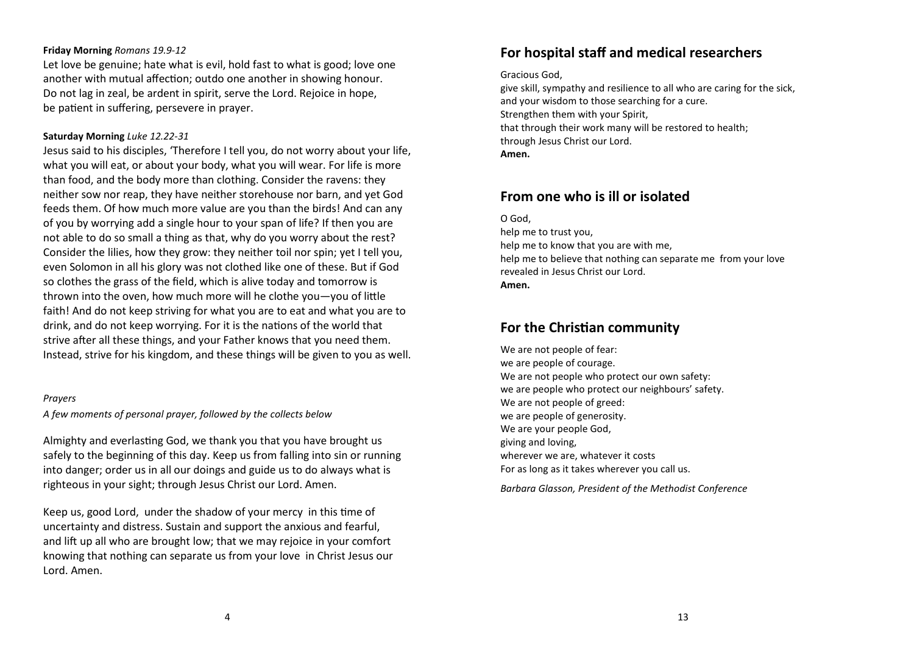#### **Friday Morning** *Romans 19.9-12*

Let love be genuine; hate what is evil, hold fast to what is good; love one another with mutual affection; outdo one another in showing honour. Do not lag in zeal, be ardent in spirit, serve the Lord. Rejoice in hope, be patient in suffering, persevere in prayer.

#### **Saturday Morning** *Luke 12.22-31*

Jesus said to his disciples, 'Therefore I tell you, do not worry about your life, what you will eat, or about your body, what you will wear. For life is more than food, and the body more than clothing. Consider the ravens: they neither sow nor reap, they have neither storehouse nor barn, and yet God feeds them. Of how much more value are you than the birds! And can any of you by worrying add a single hour to your span of life? If then you are not able to do so small a thing as that, why do you worry about the rest? Consider the lilies, how they grow: they neither toil nor spin; yet I tell you, even Solomon in all his glory was not clothed like one of these. But if God so clothes the grass of the field, which is alive today and tomorrow is thrown into the oven, how much more will he clothe you-you of little faith! And do not keep striving for what you are to eat and what you are to drink, and do not keep worrying. For it is the nations of the world that strive after all these things, and your Father knows that you need them. Instead, strive for his kingdom, and these things will be given to you as well.

#### *Prayers*

*A few moments of personal prayer, followed by the collects below* 

Almighty and everlasting God, we thank you that you have brought us safely to the beginning of this day. Keep us from falling into sin or running into danger; order us in all our doings and guide us to do always what is righteous in your sight; through Jesus Christ our Lord. Amen.

Keep us, good Lord, under the shadow of your mercy in this time of uncertainty and distress. Sustain and support the anxious and fearful, and lift up all who are brought low; that we may rejoice in your comfort knowing that nothing can separate us from your love in Christ Jesus our Lord. Amen.

# **For hospital staff and medical researchers**

#### Gracious God,

give skill, sympathy and resilience to all who are caring for the sick, and your wisdom to those searching for a cure. Strengthen them with your Spirit, that through their work many will be restored to health; through Jesus Christ our Lord. **Amen.**

# **From one who is ill or isolated**

#### O God,

help me to trust you, help me to know that you are with me, help me to believe that nothing can separate me from your love revealed in Jesus Christ our Lord. **Amen.**

# **For the Christian community**

We are not people of fear: we are people of courage. We are not people who protect our own safety: we are people who protect our neighbours' safety. We are not people of greed: we are people of generosity. We are your people God, giving and loving, wherever we are, whatever it costs For as long as it takes wherever you call us.

*Barbara Glasson, President of the Methodist Conference*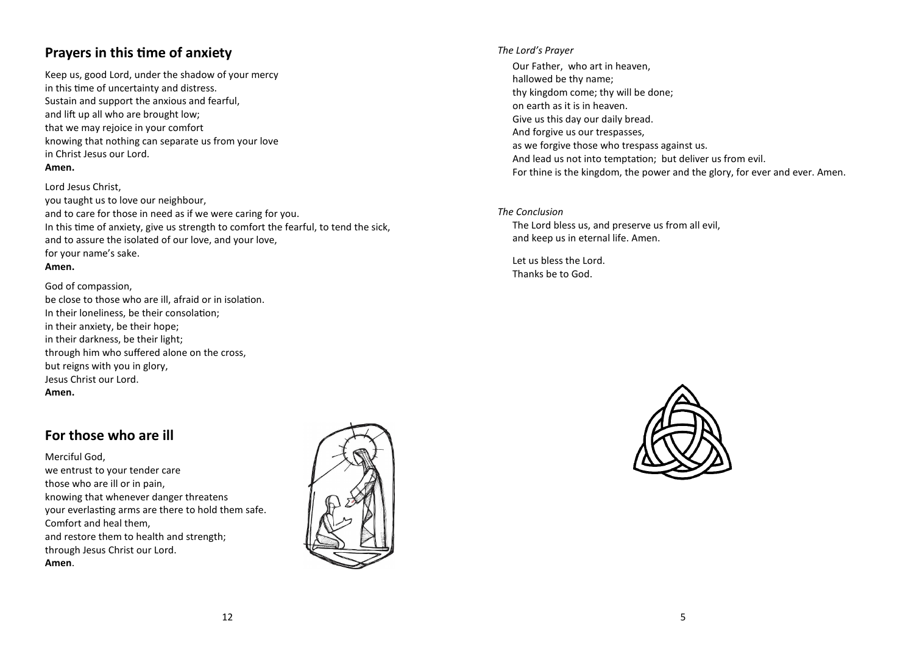# **Prayers in this time of anxiety**

Keep us, good Lord, under the shadow of your mercy in this time of uncertainty and distress. Sustain and support the anxious and fearful, and lift up all who are brought low; that we may rejoice in your comfort knowing that nothing can separate us from your lovein Christ Jesus our Lord. **Amen.**

#### Lord Jesus Christ,

you taught us to love our neighbour, and to care for those in need as if we were caring for you. In this time of anxiety, give us strength to comfort the fearful, to tend the sick, and to assure the isolated of our love, and your love, for your name's sake. **Amen.**

#### God of compassion,

be close to those who are ill, afraid or in isolation. In their loneliness, be their consolation; in their anxiety, be their hope; in their darkness, be their light; through him who suffered alone on the cross, but reigns with you in glory, Jesus Christ our Lord. **Amen.**

# **For those who are ill**

Merciful God, we entrust to your tender care those who are ill or in pain, knowing that whenever danger threatens your everlasting arms are there to hold them safe. Comfort and heal them, and restore them to health and strength; through Jesus Christ our Lord. **Amen**.



#### *The Lord's Prayer*

Our Father, who art in heaven, hallowed be thy name; thy kingdom come; thy will be done; on earth as it is in heaven. Give us this day our daily bread. And forgive us our trespasses, as we forgive those who trespass against us. And lead us not into temptation; but deliver us from evil. For thine is the kingdom, the power and the glory, for ever and ever. Amen.

## *The Conclusion* The Lord bless us, and preserve us from all evil, and keep us in eternal life. Amen.

Let us bless the Lord. Thanks be to God.

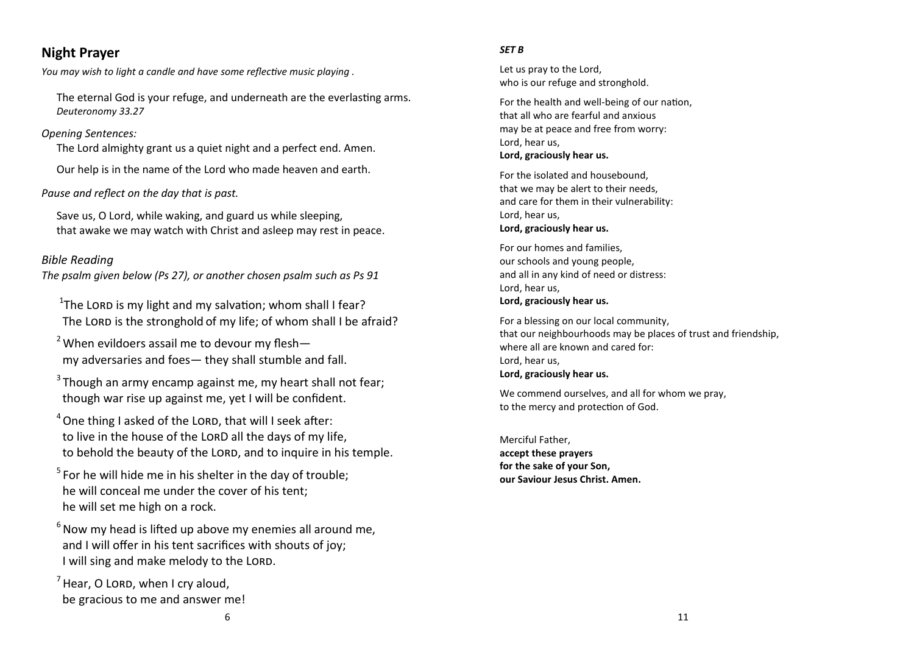# **Night Prayer**

*You may wish to light a candle and have some reflective music playing .* 

The eternal God is your refuge, and underneath are the everlasting arms. *Deuteronomy 33.27* 

# *Opening Sentences:*

The Lord almighty grant us a quiet night and a perfect end. Amen.

Our help is in the name of the Lord who made heaven and earth.

# *Pause and reflect on the day that is past.*

Save us, O Lord, while waking, and guard us while sleeping, that awake we may watch with Christ and asleep may rest in peace.

# *Bible Reading*

*The psalm given below (Ps 27), or another chosen psalm such as Ps 91* 

<sup>1</sup>The LORD is my light and my salvation; whom shall I fear? The LORD is the stronghold of my life; of whom shall I be afraid?

<sup>2</sup> When evildoers assail me to devour my fleshmy adversaries and foes— they shall stumble and fall.

 $3$ Though an army encamp against me, my heart shall not fear; though war rise up against me, yet I will be confident.

 $4$  One thing I asked of the LORD, that will I seek after: to live in the house of the LORD all the days of my life, to behold the beauty of the LORD, and to inquire in his temple.

 $5$  For he will hide me in his shelter in the day of trouble: he will conceal me under the cover of his tent; he will set me high on a rock.

 $6$  Now my head is lifted up above my enemies all around me, and I will offer in his tent sacrifices with shouts of joy; I will sing and make melody to the LORD.

 $<sup>7</sup>$  Hear, O LORD, when I cry aloud,</sup> be gracious to me and answer me!

### *SET B*

Let us pray to the Lord, who is our refuge and stronghold.

For the health and well-being of our nation, that all who are fearful and anxious may be at peace and free from worry: Lord, hear us, **Lord, graciously hear us.**

For the isolated and housebound, that we may be alert to their needs, and care for them in their vulnerability: Lord, hear us, **Lord, graciously hear us.**

For our homes and families, our schools and young people, and all in any kind of need or distress: Lord, hear us, **Lord, graciously hear us.**

For a blessing on our local community, that our neighbourhoods may be places of trust and friendship, where all are known and cared for: Lord, hear us, **Lord, graciously hear us.**

We commend ourselves, and all for whom we pray. to the mercy and protection of God.

Merciful Father, **accept these prayers for the sake of your Son, our Saviour Jesus Christ. Amen.**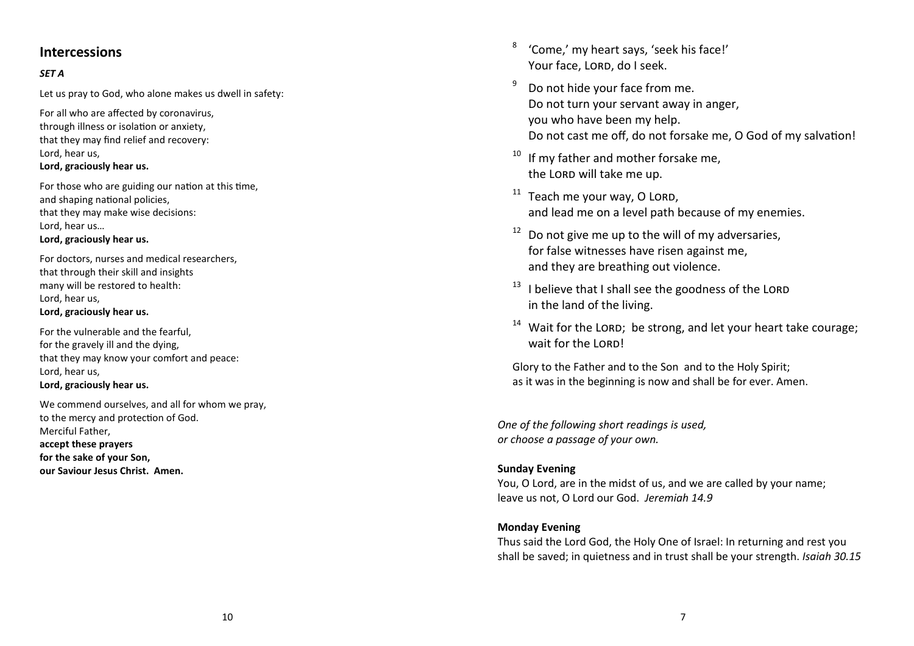# **Intercessions**

# *SET A*

Let us pray to God, who alone makes us dwell in safety:

For all who are affected by coronavirus, through illness or isolation or anxiety. that they may find relief and recovery: Lord, hear us, **Lord, graciously hear us.**

For those who are guiding our nation at this time, and shaping national policies. that they may make wise decisions: Lord, hear us… **Lord, graciously hear us.**

For doctors, nurses and medical researchers, that through their skill and insights many will be restored to health: Lord, hear us, **Lord, graciously hear us.**

For the vulnerable and the fearful, for the gravely ill and the dying, that they may know your comfort and peace: Lord, hear us, **Lord, graciously hear us.**

We commend ourselves, and all for whom we pray, to the mercy and protection of God. Merciful Father,

**accept these prayers for the sake of your Son,** 

**our Saviour Jesus Christ. Amen.**

- <sup>8</sup>'Come,' my heart says, 'seek his face!' Your face, LORD, do I seek.
- $9^9$  Do not hide your face from me. Do not turn your servant away in anger, you who have been my help. Do not cast me off, do not forsake me, O God of my salvation!
- $10$  If my father and mother forsake me, the LORD will take me up.
- $11$  Teach me your way, O LORD, and lead me on a level path because of my enemies.
- $12$  Do not give me up to the will of my adversaries, for false witnesses have risen against me, and they are breathing out violence.
- $13$  I believe that I shall see the goodness of the LORD in the land of the living.
- $14$  Wait for the LORD; be strong, and let your heart take courage; wait for the LORD!

Glory to the Father and to the Son and to the Holy Spirit; as it was in the beginning is now and shall be for ever. Amen.

*One of the following short readings is used, or choose a passage of your own.* 

## **Sunday Evening**

You, O Lord, are in the midst of us, and we are called by your name; leave us not, O Lord our God. *Jeremiah 14.9* 

# **Monday Evening**

Thus said the Lord God, the Holy One of Israel: In returning and rest you shall be saved; in quietness and in trust shall be your strength. *Isaiah 30.15*